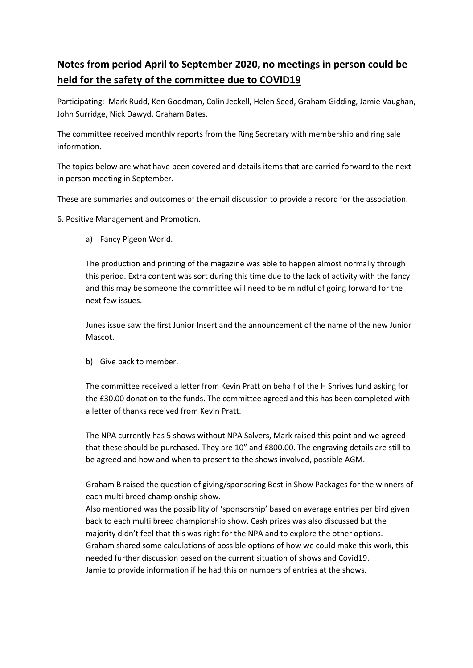# **Notes from period April to September 2020, no meetings in person could be held for the safety of the committee due to COVID19**

Participating: Mark Rudd, Ken Goodman, Colin Jeckell, Helen Seed, Graham Gidding, Jamie Vaughan, John Surridge, Nick Dawyd, Graham Bates.

The committee received monthly reports from the Ring Secretary with membership and ring sale information.

The topics below are what have been covered and details items that are carried forward to the next in person meeting in September.

These are summaries and outcomes of the email discussion to provide a record for the association.

6. Positive Management and Promotion.

a) Fancy Pigeon World.

The production and printing of the magazine was able to happen almost normally through this period. Extra content was sort during this time due to the lack of activity with the fancy and this may be someone the committee will need to be mindful of going forward for the next few issues.

Junes issue saw the first Junior Insert and the announcement of the name of the new Junior Mascot.

b) Give back to member.

The committee received a letter from Kevin Pratt on behalf of the H Shrives fund asking for the £30.00 donation to the funds. The committee agreed and this has been completed with a letter of thanks received from Kevin Pratt.

The NPA currently has 5 shows without NPA Salvers, Mark raised this point and we agreed that these should be purchased. They are 10" and £800.00. The engraving details are still to be agreed and how and when to present to the shows involved, possible AGM.

Graham B raised the question of giving/sponsoring Best in Show Packages for the winners of each multi breed championship show.

Also mentioned was the possibility of 'sponsorship' based on average entries per bird given back to each multi breed championship show. Cash prizes was also discussed but the majority didn't feel that this was right for the NPA and to explore the other options. Graham shared some calculations of possible options of how we could make this work, this needed further discussion based on the current situation of shows and Covid19. Jamie to provide information if he had this on numbers of entries at the shows.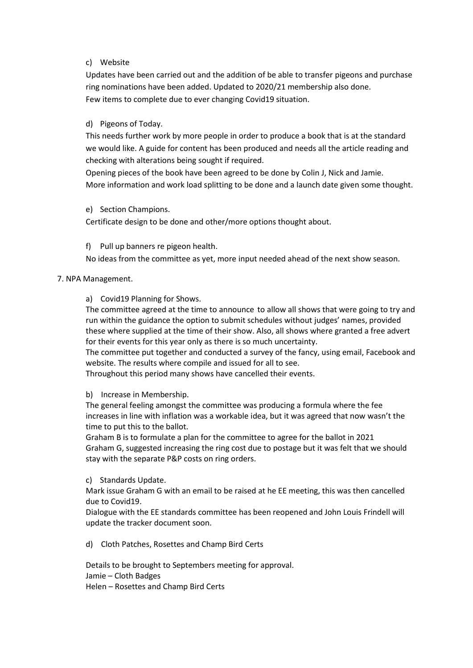### c) Website

Updates have been carried out and the addition of be able to transfer pigeons and purchase ring nominations have been added. Updated to 2020/21 membership also done. Few items to complete due to ever changing Covid19 situation.

# d) Pigeons of Today.

This needs further work by more people in order to produce a book that is at the standard we would like. A guide for content has been produced and needs all the article reading and checking with alterations being sought if required.

Opening pieces of the book have been agreed to be done by Colin J, Nick and Jamie. More information and work load splitting to be done and a launch date given some thought.

# e) Section Champions.

Certificate design to be done and other/more options thought about.

f) Pull up banners re pigeon health.

No ideas from the committee as yet, more input needed ahead of the next show season.

# 7. NPA Management.

a) Covid19 Planning for Shows.

The committee agreed at the time to announce to allow all shows that were going to try and run within the guidance the option to submit schedules without judges' names, provided these where supplied at the time of their show. Also, all shows where granted a free advert for their events for this year only as there is so much uncertainty.

The committee put together and conducted a survey of the fancy, using email, Facebook and website. The results where compile and issued for all to see.

Throughout this period many shows have cancelled their events.

### b) Increase in Membership.

The general feeling amongst the committee was producing a formula where the fee increases in line with inflation was a workable idea, but it was agreed that now wasn't the time to put this to the ballot.

Graham B is to formulate a plan for the committee to agree for the ballot in 2021 Graham G, suggested increasing the ring cost due to postage but it was felt that we should stay with the separate P&P costs on ring orders.

### c) Standards Update.

Mark issue Graham G with an email to be raised at he EE meeting, this was then cancelled due to Covid19.

Dialogue with the EE standards committee has been reopened and John Louis Frindell will update the tracker document soon.

d) Cloth Patches, Rosettes and Champ Bird Certs

Details to be brought to Septembers meeting for approval. Jamie – Cloth Badges Helen – Rosettes and Champ Bird Certs